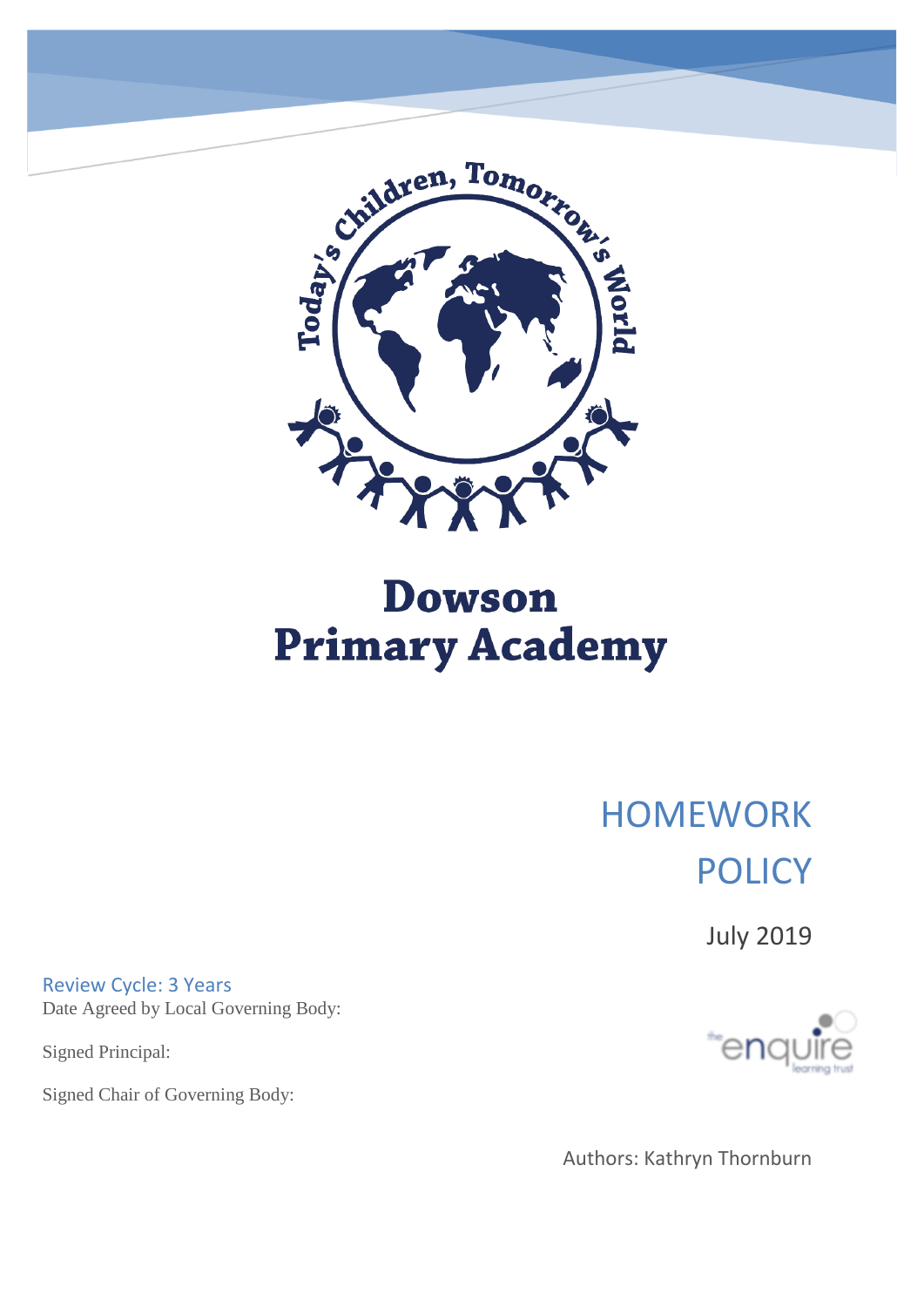

# **Dowson Primary Academy**

# HOMEWORK **POLICY**

July 2019

Review Cycle: 3 Years Date Agreed by Local Governing Body:

Signed Principal:

Signed Chair of Governing Body:



Authors: Kathryn Thornburn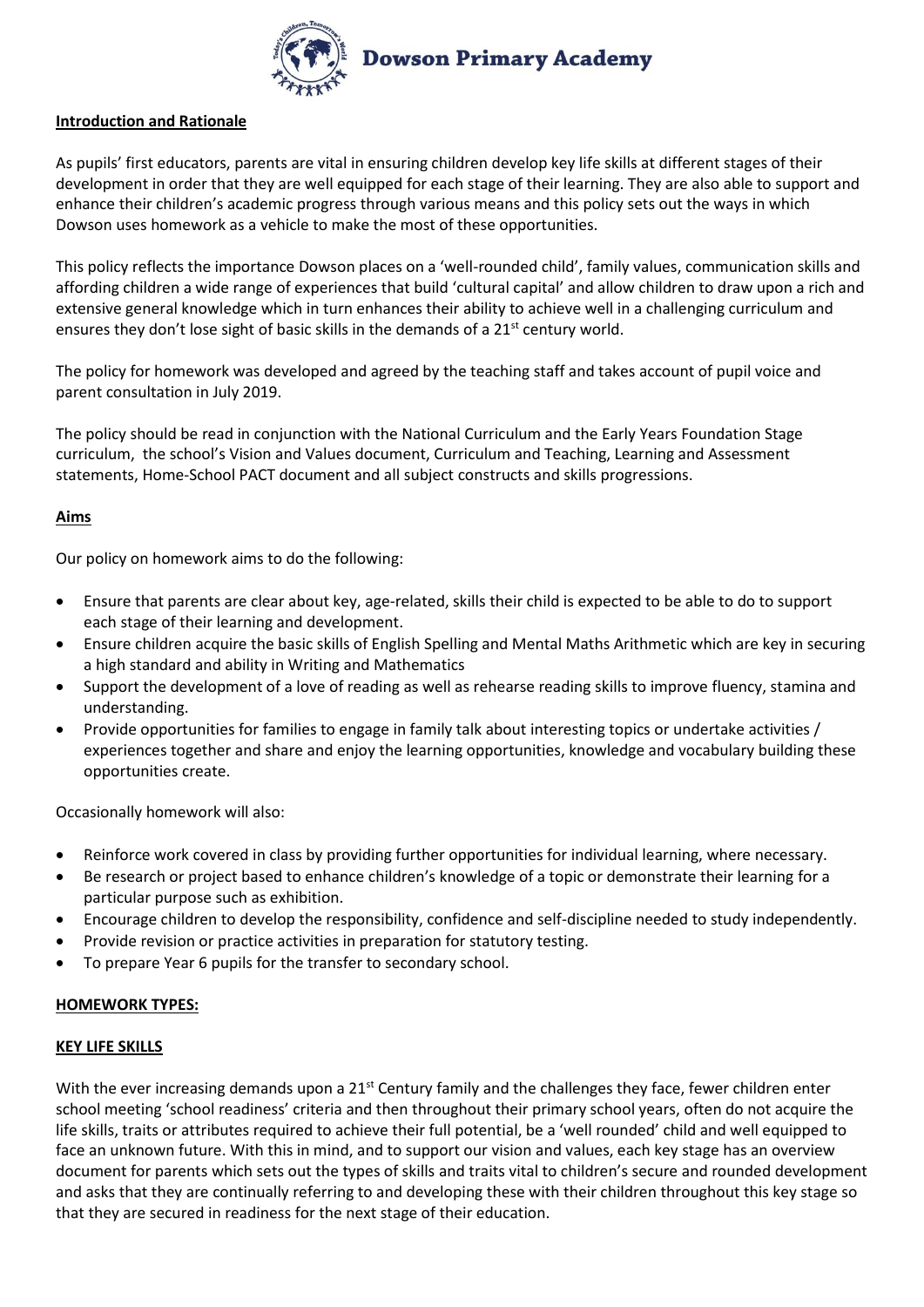

## **Introduction and Rationale**

As pupils' first educators, parents are vital in ensuring children develop key life skills at different stages of their development in order that they are well equipped for each stage of their learning. They are also able to support and enhance their children's academic progress through various means and this policy sets out the ways in which Dowson uses homework as a vehicle to make the most of these opportunities.

This policy reflects the importance Dowson places on a 'well-rounded child', family values, communication skills and affording children a wide range of experiences that build 'cultural capital' and allow children to draw upon a rich and extensive general knowledge which in turn enhances their ability to achieve well in a challenging curriculum and ensures they don't lose sight of basic skills in the demands of a 21<sup>st</sup> century world.

The policy for homework was developed and agreed by the teaching staff and takes account of pupil voice and parent consultation in July 2019.

The policy should be read in conjunction with the National Curriculum and the Early Years Foundation Stage curriculum, the school's Vision and Values document, Curriculum and Teaching, Learning and Assessment statements, Home-School PACT document and all subject constructs and skills progressions.

## **Aims**

Our policy on homework aims to do the following:

- Ensure that parents are clear about key, age-related, skills their child is expected to be able to do to support each stage of their learning and development.
- Ensure children acquire the basic skills of English Spelling and Mental Maths Arithmetic which are key in securing a high standard and ability in Writing and Mathematics
- Support the development of a love of reading as well as rehearse reading skills to improve fluency, stamina and understanding.
- Provide opportunities for families to engage in family talk about interesting topics or undertake activities / experiences together and share and enjoy the learning opportunities, knowledge and vocabulary building these opportunities create.

Occasionally homework will also:

- Reinforce work covered in class by providing further opportunities for individual learning, where necessary.
- Be research or project based to enhance children's knowledge of a topic or demonstrate their learning for a particular purpose such as exhibition.
- Encourage children to develop the responsibility, confidence and self-discipline needed to study independently.
- Provide revision or practice activities in preparation for statutory testing.
- To prepare Year 6 pupils for the transfer to secondary school.

#### **HOMEWORK TYPES:**

#### **KEY LIFE SKILLS**

With the ever increasing demands upon a 21<sup>st</sup> Century family and the challenges they face, fewer children enter school meeting 'school readiness' criteria and then throughout their primary school years, often do not acquire the life skills, traits or attributes required to achieve their full potential, be a 'well rounded' child and well equipped to face an unknown future. With this in mind, and to support our vision and values, each key stage has an overview document for parents which sets out the types of skills and traits vital to children's secure and rounded development and asks that they are continually referring to and developing these with their children throughout this key stage so that they are secured in readiness for the next stage of their education.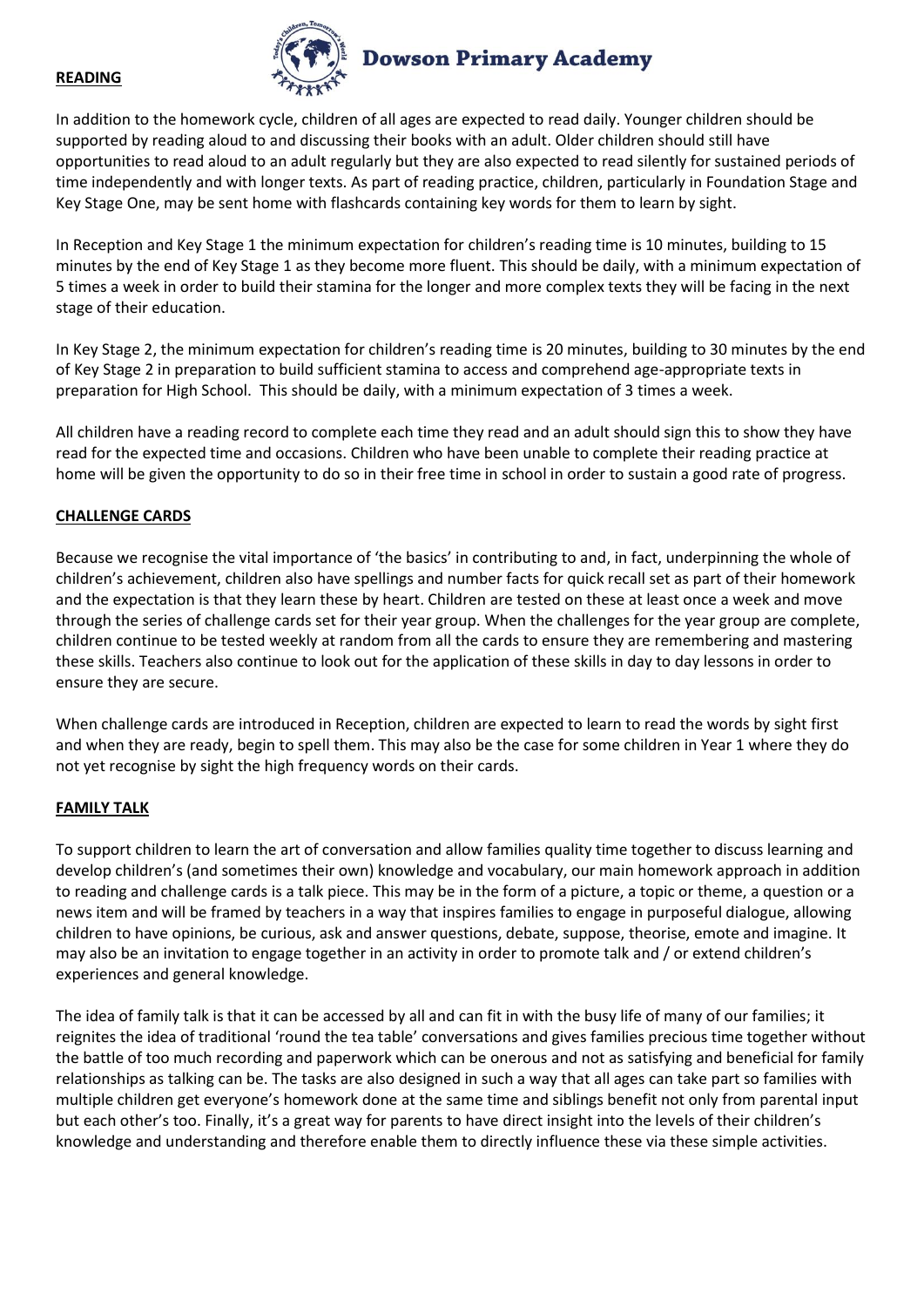#### **READING**



In addition to the homework cycle, children of all ages are expected to read daily. Younger children should be supported by reading aloud to and discussing their books with an adult. Older children should still have opportunities to read aloud to an adult regularly but they are also expected to read silently for sustained periods of time independently and with longer texts. As part of reading practice, children, particularly in Foundation Stage and Key Stage One, may be sent home with flashcards containing key words for them to learn by sight.

In Reception and Key Stage 1 the minimum expectation for children's reading time is 10 minutes, building to 15 minutes by the end of Key Stage 1 as they become more fluent. This should be daily, with a minimum expectation of 5 times a week in order to build their stamina for the longer and more complex texts they will be facing in the next stage of their education.

In Key Stage 2, the minimum expectation for children's reading time is 20 minutes, building to 30 minutes by the end of Key Stage 2 in preparation to build sufficient stamina to access and comprehend age-appropriate texts in preparation for High School. This should be daily, with a minimum expectation of 3 times a week.

All children have a reading record to complete each time they read and an adult should sign this to show they have read for the expected time and occasions. Children who have been unable to complete their reading practice at home will be given the opportunity to do so in their free time in school in order to sustain a good rate of progress.

#### **CHALLENGE CARDS**

Because we recognise the vital importance of 'the basics' in contributing to and, in fact, underpinning the whole of children's achievement, children also have spellings and number facts for quick recall set as part of their homework and the expectation is that they learn these by heart. Children are tested on these at least once a week and move through the series of challenge cards set for their year group. When the challenges for the year group are complete, children continue to be tested weekly at random from all the cards to ensure they are remembering and mastering these skills. Teachers also continue to look out for the application of these skills in day to day lessons in order to ensure they are secure.

When challenge cards are introduced in Reception, children are expected to learn to read the words by sight first and when they are ready, begin to spell them. This may also be the case for some children in Year 1 where they do not yet recognise by sight the high frequency words on their cards.

#### **FAMILY TALK**

To support children to learn the art of conversation and allow families quality time together to discuss learning and develop children's (and sometimes their own) knowledge and vocabulary, our main homework approach in addition to reading and challenge cards is a talk piece. This may be in the form of a picture, a topic or theme, a question or a news item and will be framed by teachers in a way that inspires families to engage in purposeful dialogue, allowing children to have opinions, be curious, ask and answer questions, debate, suppose, theorise, emote and imagine. It may also be an invitation to engage together in an activity in order to promote talk and / or extend children's experiences and general knowledge.

The idea of family talk is that it can be accessed by all and can fit in with the busy life of many of our families; it reignites the idea of traditional 'round the tea table' conversations and gives families precious time together without the battle of too much recording and paperwork which can be onerous and not as satisfying and beneficial for family relationships as talking can be. The tasks are also designed in such a way that all ages can take part so families with multiple children get everyone's homework done at the same time and siblings benefit not only from parental input but each other's too. Finally, it's a great way for parents to have direct insight into the levels of their children's knowledge and understanding and therefore enable them to directly influence these via these simple activities.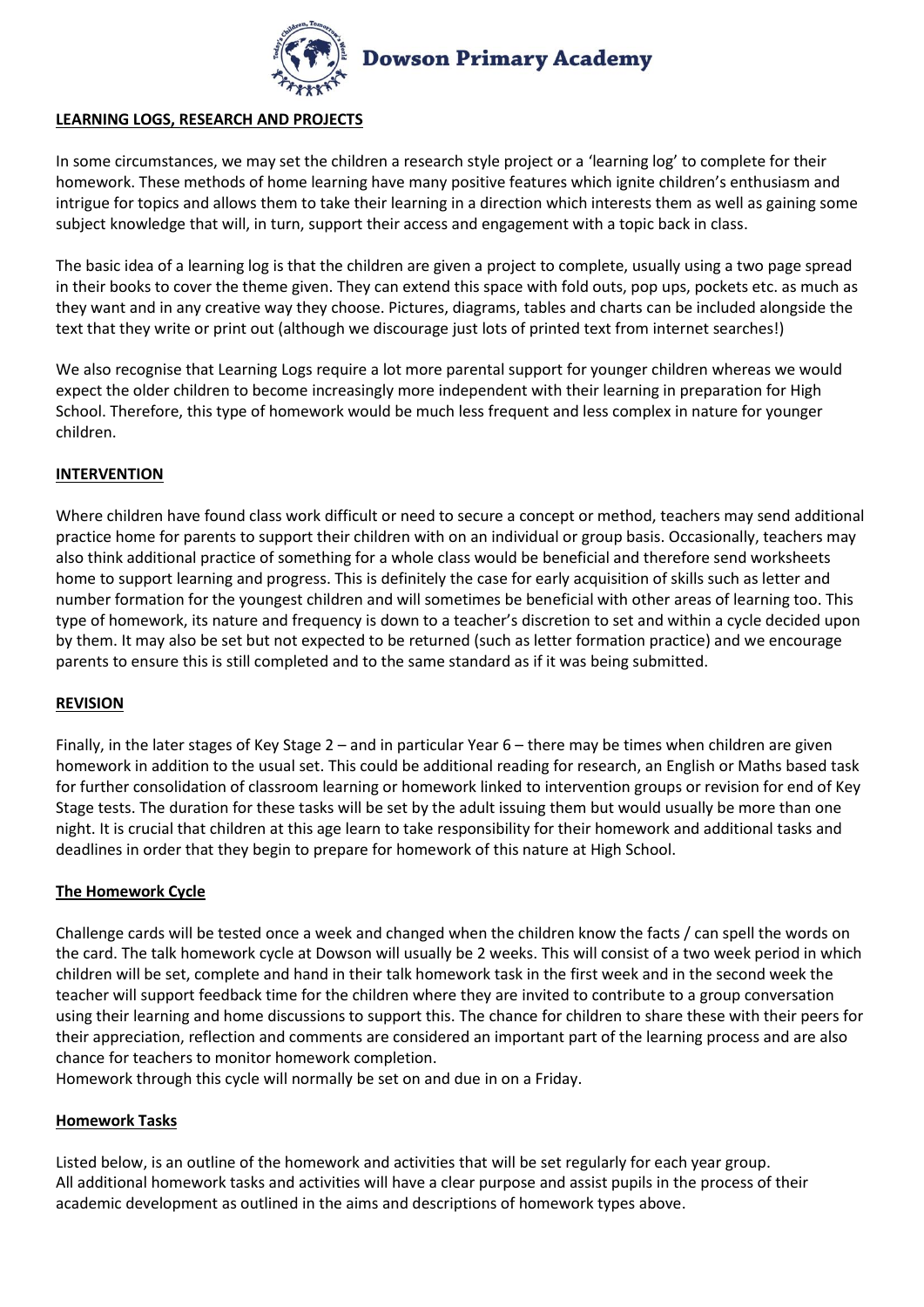

## **LEARNING LOGS, RESEARCH AND PROJECTS**

In some circumstances, we may set the children a research style project or a 'learning log' to complete for their homework. These methods of home learning have many positive features which ignite children's enthusiasm and intrigue for topics and allows them to take their learning in a direction which interests them as well as gaining some subject knowledge that will, in turn, support their access and engagement with a topic back in class.

The basic idea of a learning log is that the children are given a project to complete, usually using a two page spread in their books to cover the theme given. They can extend this space with fold outs, pop ups, pockets etc. as much as they want and in any creative way they choose. Pictures, diagrams, tables and charts can be included alongside the text that they write or print out (although we discourage just lots of printed text from internet searches!)

We also recognise that Learning Logs require a lot more parental support for younger children whereas we would expect the older children to become increasingly more independent with their learning in preparation for High School. Therefore, this type of homework would be much less frequent and less complex in nature for younger children.

## **INTERVENTION**

Where children have found class work difficult or need to secure a concept or method, teachers may send additional practice home for parents to support their children with on an individual or group basis. Occasionally, teachers may also think additional practice of something for a whole class would be beneficial and therefore send worksheets home to support learning and progress. This is definitely the case for early acquisition of skills such as letter and number formation for the youngest children and will sometimes be beneficial with other areas of learning too. This type of homework, its nature and frequency is down to a teacher's discretion to set and within a cycle decided upon by them. It may also be set but not expected to be returned (such as letter formation practice) and we encourage parents to ensure this is still completed and to the same standard as if it was being submitted.

#### **REVISION**

Finally, in the later stages of Key Stage 2 – and in particular Year 6 – there may be times when children are given homework in addition to the usual set. This could be additional reading for research, an English or Maths based task for further consolidation of classroom learning or homework linked to intervention groups or revision for end of Key Stage tests. The duration for these tasks will be set by the adult issuing them but would usually be more than one night. It is crucial that children at this age learn to take responsibility for their homework and additional tasks and deadlines in order that they begin to prepare for homework of this nature at High School.

#### **The Homework Cycle**

Challenge cards will be tested once a week and changed when the children know the facts / can spell the words on the card. The talk homework cycle at Dowson will usually be 2 weeks. This will consist of a two week period in which children will be set, complete and hand in their talk homework task in the first week and in the second week the teacher will support feedback time for the children where they are invited to contribute to a group conversation using their learning and home discussions to support this. The chance for children to share these with their peers for their appreciation, reflection and comments are considered an important part of the learning process and are also chance for teachers to monitor homework completion.

Homework through this cycle will normally be set on and due in on a Friday.

#### **Homework Tasks**

Listed below, is an outline of the homework and activities that will be set regularly for each year group. All additional homework tasks and activities will have a clear purpose and assist pupils in the process of their academic development as outlined in the aims and descriptions of homework types above.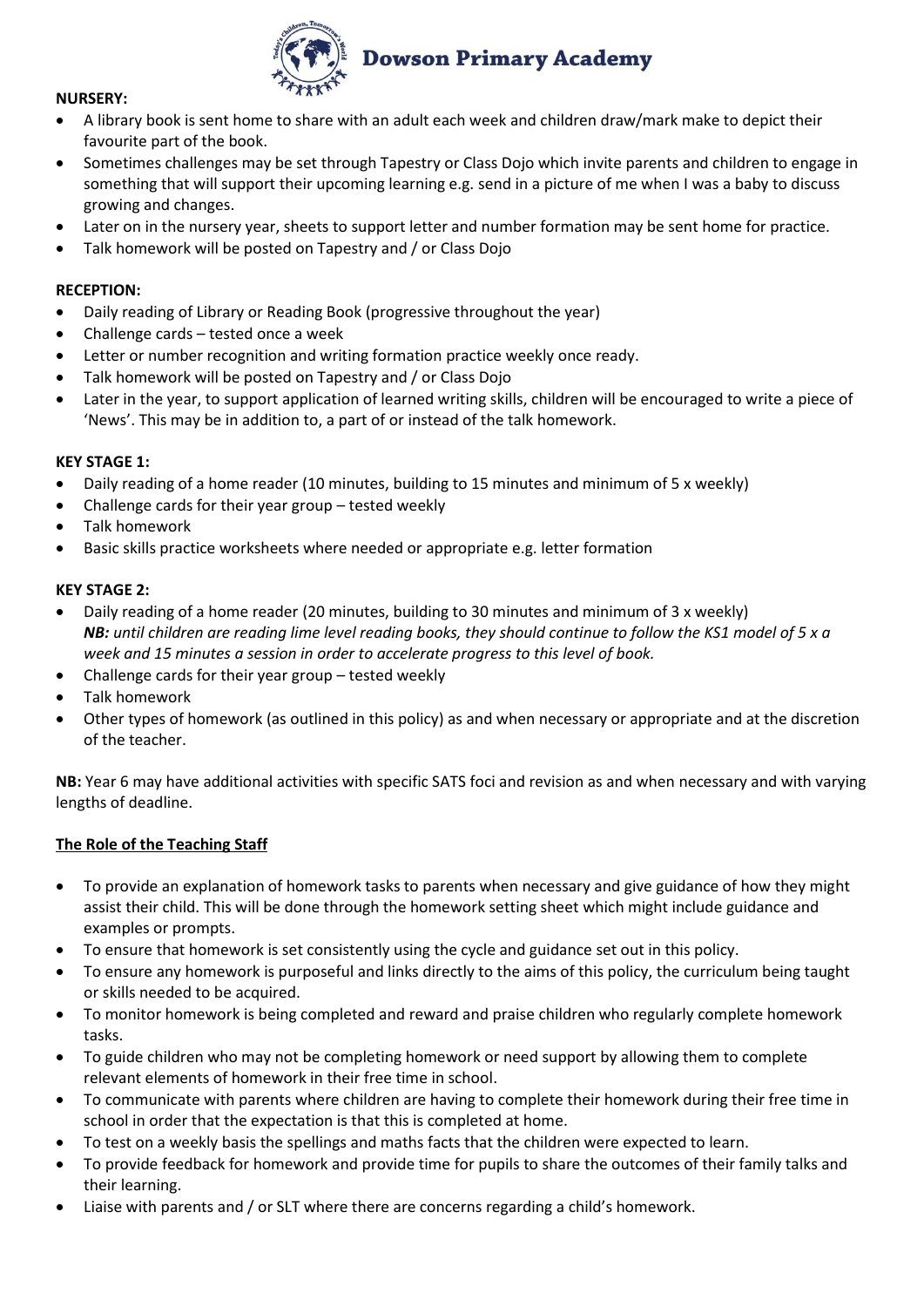

## **NURSERY:**

- A library book is sent home to share with an adult each week and children draw/mark make to depict their favourite part of the book.
- Sometimes challenges may be set through Tapestry or Class Dojo which invite parents and children to engage in something that will support their upcoming learning e.g. send in a picture of me when I was a baby to discuss growing and changes.
- Later on in the nursery year, sheets to support letter and number formation may be sent home for practice.
- Talk homework will be posted on Tapestry and / or Class Dojo

# **RECEPTION:**

- Daily reading of Library or Reading Book (progressive throughout the year)
- Challenge cards tested once a week
- Letter or number recognition and writing formation practice weekly once ready.
- Talk homework will be posted on Tapestry and / or Class Dojo
- Later in the year, to support application of learned writing skills, children will be encouraged to write a piece of 'News'. This may be in addition to, a part of or instead of the talk homework.

#### **KEY STAGE 1:**

- Daily reading of a home reader (10 minutes, building to 15 minutes and minimum of 5 x weekly)
- Challenge cards for their year group tested weekly
- Talk homework
- Basic skills practice worksheets where needed or appropriate e.g. letter formation

#### **KEY STAGE 2:**

- Daily reading of a home reader (20 minutes, building to 30 minutes and minimum of 3 x weekly) *NB: until children are reading lime level reading books, they should continue to follow the KS1 model of 5 x a week and 15 minutes a session in order to accelerate progress to this level of book.*
- Challenge cards for their year group tested weekly
- Talk homework
- Other types of homework (as outlined in this policy) as and when necessary or appropriate and at the discretion of the teacher.

**NB:** Year 6 may have additional activities with specific SATS foci and revision as and when necessary and with varying lengths of deadline.

#### **The Role of the Teaching Staff**

- To provide an explanation of homework tasks to parents when necessary and give guidance of how they might assist their child. This will be done through the homework setting sheet which might include guidance and examples or prompts.
- To ensure that homework is set consistently using the cycle and guidance set out in this policy.
- To ensure any homework is purposeful and links directly to the aims of this policy, the curriculum being taught or skills needed to be acquired.
- To monitor homework is being completed and reward and praise children who regularly complete homework tasks.
- To guide children who may not be completing homework or need support by allowing them to complete relevant elements of homework in their free time in school.
- To communicate with parents where children are having to complete their homework during their free time in school in order that the expectation is that this is completed at home.
- To test on a weekly basis the spellings and maths facts that the children were expected to learn.
- To provide feedback for homework and provide time for pupils to share the outcomes of their family talks and their learning.
- Liaise with parents and / or SLT where there are concerns regarding a child's homework.